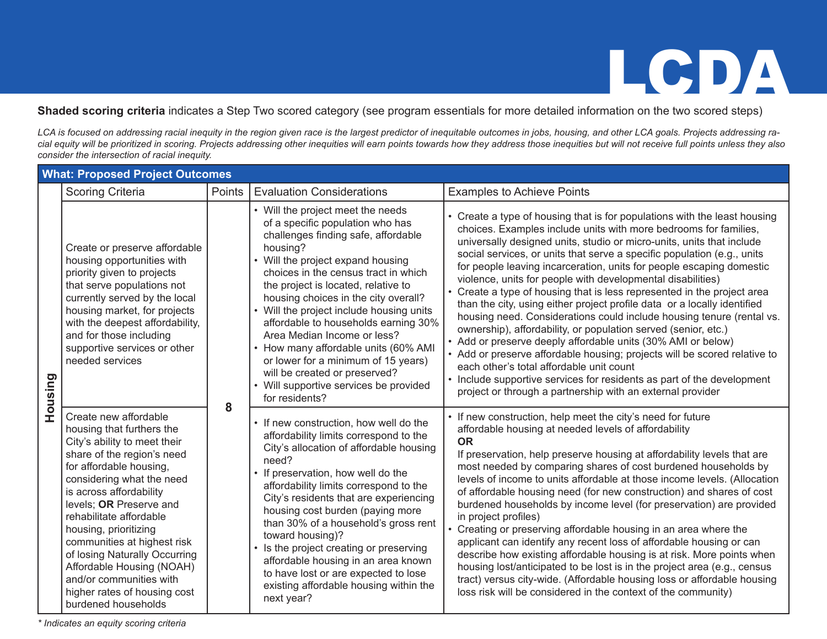**Shaded scoring criteria** indicates a Step Two scored category (see program essentials for more detailed information on the two scored steps)

*LCA is focused on addressing racial inequity in the region given race is the largest predictor of inequitable outcomes in jobs, housing, and other LCA goals. Projects addressing racial equity will be prioritized in scoring. Projects addressing other inequities will earn points towards how they address those inequities but will not receive full points unless they also consider the intersection of racial inequity.*

|         | <b>What: Proposed Project Outcomes</b>                                                                                                                                                                                                                                                                                                                                                                                                                            |        |                                                                                                                                                                                                                                                                                                                                                                                                                                                                                                                                                                                   |                                                                                                                                                                                                                                                                                                                                                                                                                                                                                                                                                                                                                                                                                                                                                                                                                                                                                                                                                                                                                                                                             |  |  |
|---------|-------------------------------------------------------------------------------------------------------------------------------------------------------------------------------------------------------------------------------------------------------------------------------------------------------------------------------------------------------------------------------------------------------------------------------------------------------------------|--------|-----------------------------------------------------------------------------------------------------------------------------------------------------------------------------------------------------------------------------------------------------------------------------------------------------------------------------------------------------------------------------------------------------------------------------------------------------------------------------------------------------------------------------------------------------------------------------------|-----------------------------------------------------------------------------------------------------------------------------------------------------------------------------------------------------------------------------------------------------------------------------------------------------------------------------------------------------------------------------------------------------------------------------------------------------------------------------------------------------------------------------------------------------------------------------------------------------------------------------------------------------------------------------------------------------------------------------------------------------------------------------------------------------------------------------------------------------------------------------------------------------------------------------------------------------------------------------------------------------------------------------------------------------------------------------|--|--|
|         | <b>Scoring Criteria</b>                                                                                                                                                                                                                                                                                                                                                                                                                                           | Points | <b>Evaluation Considerations</b>                                                                                                                                                                                                                                                                                                                                                                                                                                                                                                                                                  | <b>Examples to Achieve Points</b>                                                                                                                                                                                                                                                                                                                                                                                                                                                                                                                                                                                                                                                                                                                                                                                                                                                                                                                                                                                                                                           |  |  |
| Housing | Create or preserve affordable<br>housing opportunities with<br>priority given to projects<br>that serve populations not<br>currently served by the local<br>housing market, for projects<br>with the deepest affordability,<br>and for those including<br>supportive services or other<br>needed services                                                                                                                                                         | 8      | • Will the project meet the needs<br>of a specific population who has<br>challenges finding safe, affordable<br>housing?<br>• Will the project expand housing<br>choices in the census tract in which<br>the project is located, relative to<br>housing choices in the city overall?<br>• Will the project include housing units<br>affordable to households earning 30%<br>Area Median Income or less?<br>How many affordable units (60% AMI<br>or lower for a minimum of 15 years)<br>will be created or preserved?<br>• Will supportive services be provided<br>for residents? | • Create a type of housing that is for populations with the least housing<br>choices. Examples include units with more bedrooms for families,<br>universally designed units, studio or micro-units, units that include<br>social services, or units that serve a specific population (e.g., units<br>for people leaving incarceration, units for people escaping domestic<br>violence, units for people with developmental disabilities)<br>• Create a type of housing that is less represented in the project area<br>than the city, using either project profile data or a locally identified<br>housing need. Considerations could include housing tenure (rental vs.<br>ownership), affordability, or population served (senior, etc.)<br>• Add or preserve deeply affordable units (30% AMI or below)<br>• Add or preserve affordable housing; projects will be scored relative to<br>each other's total affordable unit count<br>• Include supportive services for residents as part of the development<br>project or through a partnership with an external provider |  |  |
|         | Create new affordable<br>housing that furthers the<br>City's ability to meet their<br>share of the region's need<br>for affordable housing,<br>considering what the need<br>is across affordability<br>levels; OR Preserve and<br>rehabilitate affordable<br>housing, prioritizing<br>communities at highest risk<br>of losing Naturally Occurring<br>Affordable Housing (NOAH)<br>and/or communities with<br>higher rates of housing cost<br>burdened households |        | • If new construction, how well do the<br>affordability limits correspond to the<br>City's allocation of affordable housing<br>need?<br>• If preservation, how well do the<br>affordability limits correspond to the<br>City's residents that are experiencing<br>housing cost burden (paying more<br>than 30% of a household's gross rent<br>toward housing)?<br>Is the project creating or preserving<br>affordable housing in an area known<br>to have lost or are expected to lose<br>existing affordable housing within the<br>next year?                                    | • If new construction, help meet the city's need for future<br>affordable housing at needed levels of affordability<br><b>OR</b><br>If preservation, help preserve housing at affordability levels that are<br>most needed by comparing shares of cost burdened households by<br>levels of income to units affordable at those income levels. (Allocation<br>of affordable housing need (for new construction) and shares of cost<br>burdened households by income level (for preservation) are provided<br>in project profiles)<br>• Creating or preserving affordable housing in an area where the<br>applicant can identify any recent loss of affordable housing or can<br>describe how existing affordable housing is at risk. More points when<br>housing lost/anticipated to be lost is in the project area (e.g., census<br>tract) versus city-wide. (Affordable housing loss or affordable housing<br>loss risk will be considered in the context of the community)                                                                                                |  |  |

*\* Indicates an equity scoring criteria*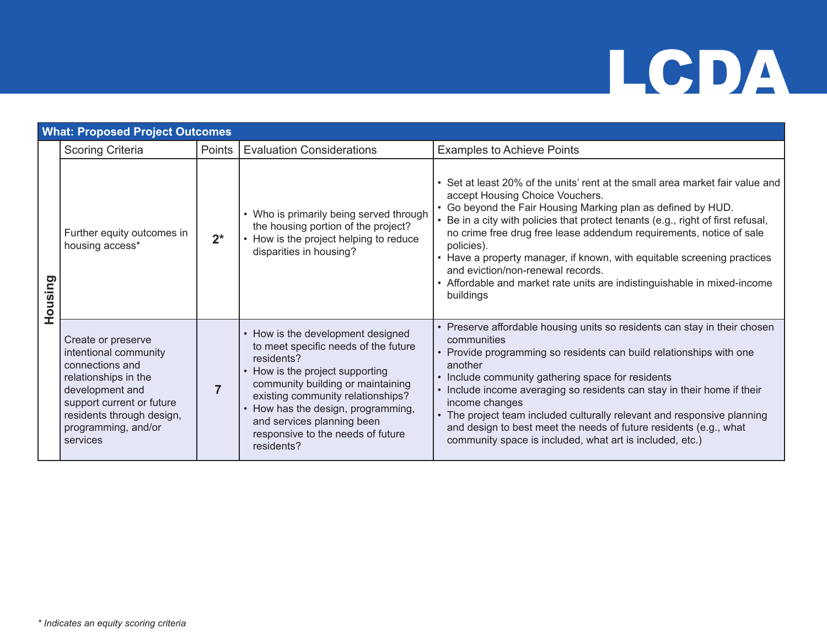|         | <b>What: Proposed Project Outcomes</b>                                                                                                                                                                 |        |                                                                                                                                                                                                                                                                                                                         |                                                                                                                                                                                                                                                                                                                                                                                                                                                                                                                                                                    |  |  |  |
|---------|--------------------------------------------------------------------------------------------------------------------------------------------------------------------------------------------------------|--------|-------------------------------------------------------------------------------------------------------------------------------------------------------------------------------------------------------------------------------------------------------------------------------------------------------------------------|--------------------------------------------------------------------------------------------------------------------------------------------------------------------------------------------------------------------------------------------------------------------------------------------------------------------------------------------------------------------------------------------------------------------------------------------------------------------------------------------------------------------------------------------------------------------|--|--|--|
|         | <b>Scoring Criteria</b>                                                                                                                                                                                | Points | <b>Evaluation Considerations</b>                                                                                                                                                                                                                                                                                        | <b>Examples to Achieve Points</b>                                                                                                                                                                                                                                                                                                                                                                                                                                                                                                                                  |  |  |  |
| Housing | Further equity outcomes in<br>housing access*                                                                                                                                                          | $2^*$  | • Who is primarily being served through<br>the housing portion of the project?<br>• How is the project helping to reduce<br>disparities in housing?                                                                                                                                                                     | • Set at least 20% of the units' rent at the small area market fair value and<br>accept Housing Choice Vouchers.<br>• Go beyond the Fair Housing Marking plan as defined by HUD.<br>• Be in a city with policies that protect tenants (e.g., right of first refusal,<br>no crime free drug free lease addendum requirements, notice of sale<br>policies).<br>• Have a property manager, if known, with equitable screening practices<br>and eviction/non-renewal records.<br>• Affordable and market rate units are indistinguishable in mixed-income<br>buildings |  |  |  |
|         | Create or preserve<br>intentional community<br>connections and<br>relationships in the<br>development and<br>support current or future<br>residents through design,<br>programming, and/or<br>services |        | • How is the development designed<br>to meet specific needs of the future<br>residents?<br>How is the project supporting<br>community building or maintaining<br>existing community relationships?<br>How has the design, programming,<br>and services planning been<br>responsive to the needs of future<br>residents? | • Preserve affordable housing units so residents can stay in their chosen<br>communities<br>• Provide programming so residents can build relationships with one<br>another<br>• Include community gathering space for residents<br>• Include income averaging so residents can stay in their home if their<br>income changes<br>• The project team included culturally relevant and responsive planning<br>and design to best meet the needs of future residents (e.g., what<br>community space is included, what art is included, etc.)                           |  |  |  |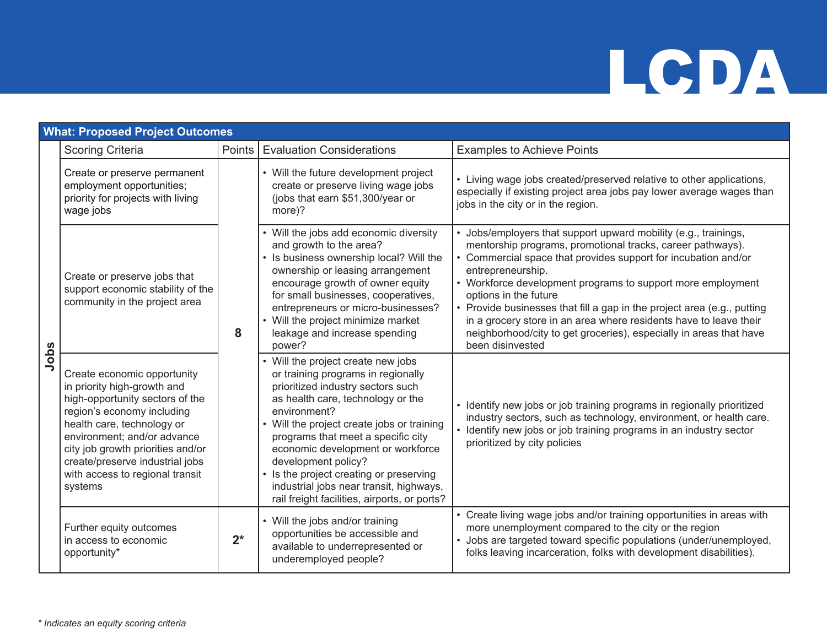|      | <b>What: Proposed Project Outcomes</b>                                                                                                                                                                                                                                                                         |        |                                                                                                                                                                                                                                                                                                                                                                                                                                                          |                                                                                                                                                                                                                                                                                                                                                                                                                                                                                                                                                      |  |  |  |
|------|----------------------------------------------------------------------------------------------------------------------------------------------------------------------------------------------------------------------------------------------------------------------------------------------------------------|--------|----------------------------------------------------------------------------------------------------------------------------------------------------------------------------------------------------------------------------------------------------------------------------------------------------------------------------------------------------------------------------------------------------------------------------------------------------------|------------------------------------------------------------------------------------------------------------------------------------------------------------------------------------------------------------------------------------------------------------------------------------------------------------------------------------------------------------------------------------------------------------------------------------------------------------------------------------------------------------------------------------------------------|--|--|--|
|      | <b>Scoring Criteria</b>                                                                                                                                                                                                                                                                                        | Points | <b>Evaluation Considerations</b>                                                                                                                                                                                                                                                                                                                                                                                                                         | <b>Examples to Achieve Points</b>                                                                                                                                                                                                                                                                                                                                                                                                                                                                                                                    |  |  |  |
|      | Create or preserve permanent<br>employment opportunities;<br>priority for projects with living<br>wage jobs                                                                                                                                                                                                    | 8      | • Will the future development project<br>create or preserve living wage jobs<br>(jobs that earn \$51,300/year or<br>more)?                                                                                                                                                                                                                                                                                                                               | • Living wage jobs created/preserved relative to other applications,<br>especially if existing project area jobs pay lower average wages than<br>jobs in the city or in the region.                                                                                                                                                                                                                                                                                                                                                                  |  |  |  |
|      | Create or preserve jobs that<br>support economic stability of the<br>community in the project area                                                                                                                                                                                                             |        | • Will the jobs add economic diversity<br>and growth to the area?<br>• Is business ownership local? Will the<br>ownership or leasing arrangement<br>encourage growth of owner equity<br>for small businesses, cooperatives,<br>entrepreneurs or micro-businesses?<br>• Will the project minimize market<br>leakage and increase spending<br>power?                                                                                                       | Jobs/employers that support upward mobility (e.g., trainings,<br>mentorship programs, promotional tracks, career pathways).<br>• Commercial space that provides support for incubation and/or<br>entrepreneurship.<br>• Workforce development programs to support more employment<br>options in the future<br>• Provide businesses that fill a gap in the project area (e.g., putting<br>in a grocery store in an area where residents have to leave their<br>neighborhood/city to get groceries), especially in areas that have<br>been disinvested |  |  |  |
| Jobs | Create economic opportunity<br>in priority high-growth and<br>high-opportunity sectors of the<br>region's economy including<br>health care, technology or<br>environment; and/or advance<br>city job growth priorities and/or<br>create/preserve industrial jobs<br>with access to regional transit<br>systems |        | • Will the project create new jobs<br>or training programs in regionally<br>prioritized industry sectors such<br>as health care, technology or the<br>environment?<br>• Will the project create jobs or training<br>programs that meet a specific city<br>economic development or workforce<br>development policy?<br>• Is the project creating or preserving<br>industrial jobs near transit, highways,<br>rail freight facilities, airports, or ports? | • Identify new jobs or job training programs in regionally prioritized<br>industry sectors, such as technology, environment, or health care.<br>• Identify new jobs or job training programs in an industry sector<br>prioritized by city policies                                                                                                                                                                                                                                                                                                   |  |  |  |
|      | Further equity outcomes<br>in access to economic<br>opportunity*                                                                                                                                                                                                                                               | $2^*$  | • Will the jobs and/or training<br>opportunities be accessible and<br>available to underrepresented or<br>underemployed people?                                                                                                                                                                                                                                                                                                                          | • Create living wage jobs and/or training opportunities in areas with<br>more unemployment compared to the city or the region<br>· Jobs are targeted toward specific populations (under/unemployed,<br>folks leaving incarceration, folks with development disabilities).                                                                                                                                                                                                                                                                            |  |  |  |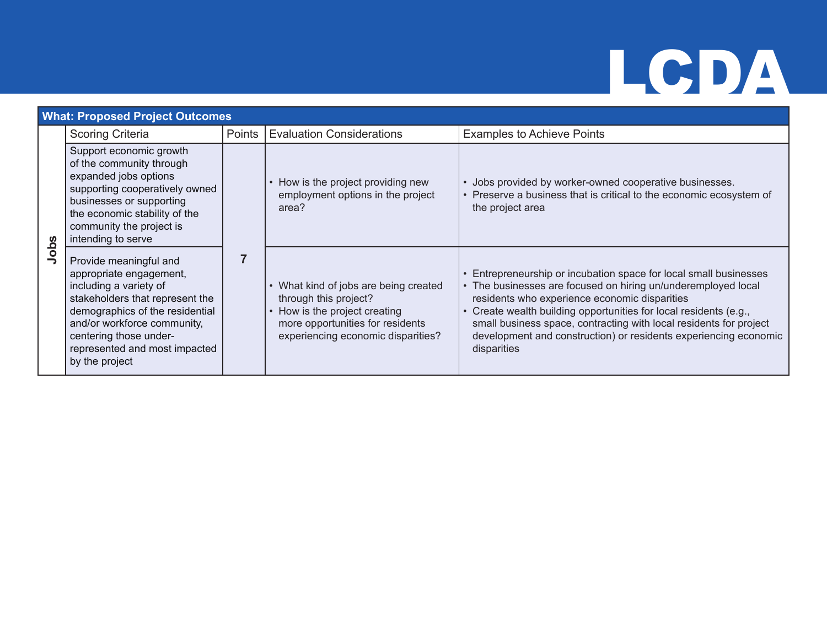|      | <b>What: Proposed Project Outcomes</b>                                                                                                                                                                                                                        |                |                                                                                                                                                                           |                                                                                                                                                                                                                                                                                                                                                                                                               |  |  |
|------|---------------------------------------------------------------------------------------------------------------------------------------------------------------------------------------------------------------------------------------------------------------|----------------|---------------------------------------------------------------------------------------------------------------------------------------------------------------------------|---------------------------------------------------------------------------------------------------------------------------------------------------------------------------------------------------------------------------------------------------------------------------------------------------------------------------------------------------------------------------------------------------------------|--|--|
|      | <b>Scoring Criteria</b>                                                                                                                                                                                                                                       | Points         | <b>Evaluation Considerations</b>                                                                                                                                          | <b>Examples to Achieve Points</b>                                                                                                                                                                                                                                                                                                                                                                             |  |  |
| Jobs | Support economic growth<br>of the community through<br>expanded jobs options<br>supporting cooperatively owned<br>businesses or supporting<br>the economic stability of the<br>community the project is<br>intending to serve                                 | $\overline{7}$ | • How is the project providing new<br>employment options in the project<br>area?                                                                                          | Jobs provided by worker-owned cooperative businesses.<br>• Preserve a business that is critical to the economic ecosystem of<br>the project area                                                                                                                                                                                                                                                              |  |  |
|      | Provide meaningful and<br>appropriate engagement,<br>including a variety of<br>stakeholders that represent the<br>demographics of the residential<br>and/or workforce community,<br>centering those under-<br>represented and most impacted<br>by the project |                | • What kind of jobs are being created<br>through this project?<br>• How is the project creating<br>more opportunities for residents<br>experiencing economic disparities? | Entrepreneurship or incubation space for local small businesses<br>• The businesses are focused on hiring un/underemployed local<br>residents who experience economic disparities<br>Create wealth building opportunities for local residents (e.g.,<br>small business space, contracting with local residents for project<br>development and construction) or residents experiencing economic<br>disparities |  |  |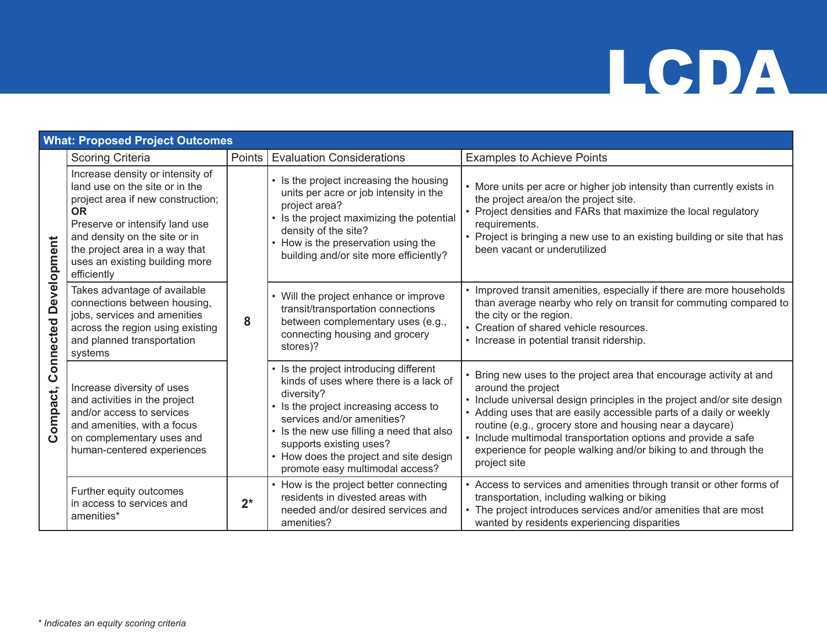|                                          | <b>What: Proposed Project Outcomes</b>                                                                                                                                                                                                                                     |        |                                                                                                                                                                                                                                                                                                                            |                                                                                                                                                                                                                                                                                                                                                                                                                                                           |  |  |
|------------------------------------------|----------------------------------------------------------------------------------------------------------------------------------------------------------------------------------------------------------------------------------------------------------------------------|--------|----------------------------------------------------------------------------------------------------------------------------------------------------------------------------------------------------------------------------------------------------------------------------------------------------------------------------|-----------------------------------------------------------------------------------------------------------------------------------------------------------------------------------------------------------------------------------------------------------------------------------------------------------------------------------------------------------------------------------------------------------------------------------------------------------|--|--|
|                                          | <b>Scoring Criteria</b>                                                                                                                                                                                                                                                    | Points | <b>Evaluation Considerations</b>                                                                                                                                                                                                                                                                                           | <b>Examples to Achieve Points</b>                                                                                                                                                                                                                                                                                                                                                                                                                         |  |  |
| <b>Connected Development</b><br>Compact, | Increase density or intensity of<br>land use on the site or in the<br>project area if new construction;<br><b>OR</b><br>Preserve or intensify land use<br>and density on the site or in<br>the project area in a way that<br>uses an existing building more<br>efficiently |        | • Is the project increasing the housing<br>units per acre or job intensity in the<br>project area?<br>• Is the project maximizing the potential<br>density of the site?<br>• How is the preservation using the<br>building and/or site more efficiently?                                                                   | • More units per acre or higher job intensity than currently exists in<br>the project area/on the project site.<br>• Project densities and FARs that maximize the local regulatory<br>requirements.<br>• Project is bringing a new use to an existing building or site that has<br>been vacant or underutilized                                                                                                                                           |  |  |
|                                          | Takes advantage of available<br>connections between housing,<br>jobs, services and amenities<br>across the region using existing<br>and planned transportation<br>systems                                                                                                  | 8      | • Will the project enhance or improve<br>transit/transportation connections<br>between complementary uses (e.g.,<br>connecting housing and grocery<br>stores)?                                                                                                                                                             | • Improved transit amenities, especially if there are more households<br>than average nearby who rely on transit for commuting compared to<br>the city or the region.<br>• Creation of shared vehicle resources.<br>• Increase in potential transit ridership.                                                                                                                                                                                            |  |  |
|                                          | Increase diversity of uses<br>and activities in the project<br>and/or access to services<br>and amenities, with a focus<br>on complementary uses and<br>human-centered experiences                                                                                         |        | • Is the project introducing different<br>kinds of uses where there is a lack of<br>diversity?<br>• Is the project increasing access to<br>services and/or amenities?<br>• Is the new use filling a need that also<br>supports existing uses?<br>• How does the project and site design<br>promote easy multimodal access? | Bring new uses to the project area that encourage activity at and<br>around the project<br>• Include universal design principles in the project and/or site design<br>• Adding uses that are easily accessible parts of a daily or weekly<br>routine (e.g., grocery store and housing near a daycare)<br>• Include multimodal transportation options and provide a safe<br>experience for people walking and/or biking to and through the<br>project site |  |  |
|                                          | Further equity outcomes<br>in access to services and<br>amenities*                                                                                                                                                                                                         | $2^*$  | • How is the project better connecting<br>residents in divested areas with<br>needed and/or desired services and<br>amenities?                                                                                                                                                                                             | • Access to services and amenities through transit or other forms of<br>transportation, including walking or biking<br>• The project introduces services and/or amenities that are most<br>wanted by residents experiencing disparities                                                                                                                                                                                                                   |  |  |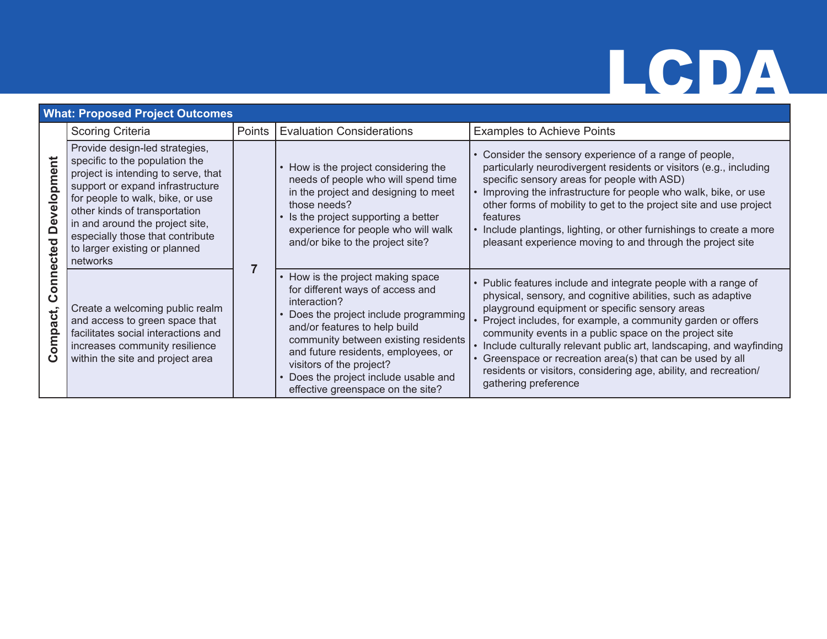### **What: Proposed Project Outcomes**

|                                                                             | <b>Scoring Criteria</b>                                                                                                                                                                                                                                                                                                              | Points | <b>Evaluation Considerations</b>                                                                                                                                                                                                                                                                                                                          | <b>Examples to Achieve Points</b>                                                                                                                                                                                                                                                                                                                                                                                                                                                                                                          |
|-----------------------------------------------------------------------------|--------------------------------------------------------------------------------------------------------------------------------------------------------------------------------------------------------------------------------------------------------------------------------------------------------------------------------------|--------|-----------------------------------------------------------------------------------------------------------------------------------------------------------------------------------------------------------------------------------------------------------------------------------------------------------------------------------------------------------|--------------------------------------------------------------------------------------------------------------------------------------------------------------------------------------------------------------------------------------------------------------------------------------------------------------------------------------------------------------------------------------------------------------------------------------------------------------------------------------------------------------------------------------------|
| D <sub>IO</sub><br>Develo<br>cted<br>Φ<br>$\mathbf C$<br>ompact.<br>$\circ$ | Provide design-led strategies,<br>specific to the population the<br>project is intending to serve, that<br>support or expand infrastructure<br>for people to walk, bike, or use<br>other kinds of transportation<br>in and around the project site,<br>especially those that contribute<br>to larger existing or planned<br>networks |        | • How is the project considering the<br>needs of people who will spend time<br>in the project and designing to meet<br>those needs?<br>• Is the project supporting a better<br>experience for people who will walk<br>and/or bike to the project site?                                                                                                    | • Consider the sensory experience of a range of people,<br>particularly neurodivergent residents or visitors (e.g., including<br>specific sensory areas for people with ASD)<br>• Improving the infrastructure for people who walk, bike, or use<br>other forms of mobility to get to the project site and use project<br>features<br>• Include plantings, lighting, or other furnishings to create a more<br>pleasant experience moving to and through the project site                                                                   |
|                                                                             | Create a welcoming public realm<br>and access to green space that<br>facilitates social interactions and<br>increases community resilience<br>within the site and project area                                                                                                                                                       |        | • How is the project making space<br>for different ways of access and<br>interaction?<br>• Does the project include programming<br>and/or features to help build<br>community between existing residents<br>and future residents, employees, or<br>visitors of the project?<br>• Does the project include usable and<br>effective greenspace on the site? | • Public features include and integrate people with a range of<br>physical, sensory, and cognitive abilities, such as adaptive<br>playground equipment or specific sensory areas<br>Project includes, for example, a community garden or offers<br>community events in a public space on the project site<br>• Include culturally relevant public art, landscaping, and wayfinding<br>Greenspace or recreation area(s) that can be used by all<br>residents or visitors, considering age, ability, and recreation/<br>gathering preference |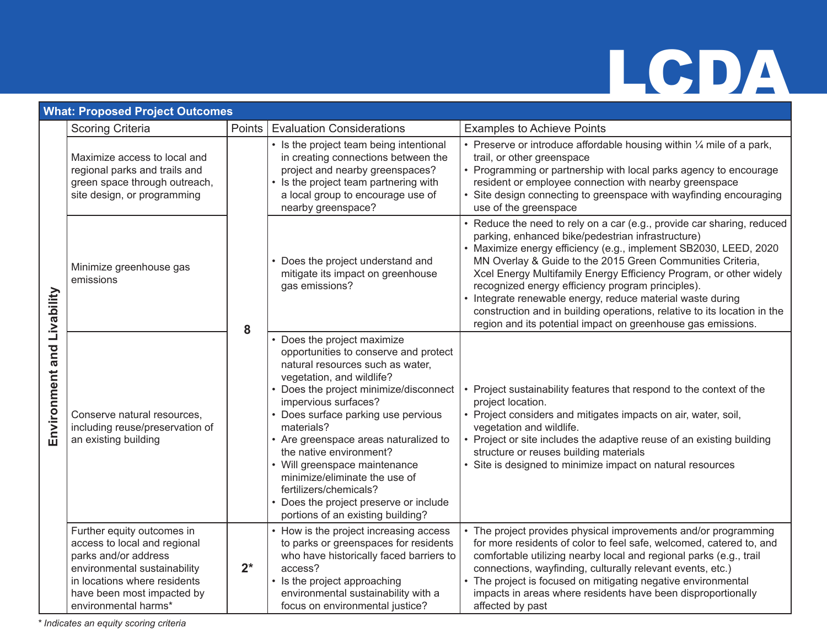impacts in areas where residents have been disproportionally

affected by past

### **What: Proposed Project Outcomes** Scoring Criteria **Points Evaluation Considerations Points Examples to Achieve Points** Examples to Achieve Points Preserve or introduce affordable housing within  $\frac{1}{4}$  mile of a park, • Is the project team being intentional Maximize access to local and in creating connections between the trail, or other greenspace project and nearby greenspaces? • Programming or partnership with local parks agency to encourage regional parks and trails and resident or employee connection with nearby greenspace green space through outreach, • Is the project team partnering with a local group to encourage use of Site design connecting to greenspace with wayfinding encouraging site design, or programming nearby greenspace? use of the greenspace Reduce the need to rely on a car (e.g., provide car sharing, reduced parking, enhanced bike/pedestrian infrastructure) • Maximize energy efficiency (e.g., implement SB2030, LEED, 2020 MN Overlay & Guide to the 2015 Green Communities Criteria, • Does the project understand and Minimize greenhouse gas mitigate its impact on greenhouse Xcel Energy Multifamily Energy Efficiency Program, or other widely emissions gas emissions? recognized energy efficiency program principles). **Environment and Livability** Environment and Livability • Integrate renewable energy, reduce material waste during construction and in building operations, relative to its location in the region and its potential impact on greenhouse gas emissions. **8** • Does the project maximize opportunities to conserve and protect natural resources such as water, vegetation, and wildlife? • Does the project minimize/disconnect • Project sustainability features that respond to the context of the impervious surfaces? project location. Conserve natural resources, • Does surface parking use pervious • Project considers and mitigates impacts on air, water, soil, including reuse/preservation of materials? vegetation and wildlife. • Are greenspace areas naturalized to • Project or site includes the adaptive reuse of an existing building an existing building the native environment? structure or reuses building materials • Will greenspace maintenance • Site is designed to minimize impact on natural resources minimize/eliminate the use of fertilizers/chemicals? • Does the project preserve or include portions of an existing building? Further equity outcomes in • The project provides physical improvements and/or programming • How is the project increasing access access to local and regional to parks or greenspaces for residents for more residents of color to feel safe, welcomed, catered to, and who have historically faced barriers to parks and/or address comfortable utilizing nearby local and regional parks (e.g., trail environmental sustainability **2\*** access? connections, wayfinding, culturally relevant events, etc.) The project is focused on mitigating negative environmental in locations where residents • Is the project approaching

environmental sustainability with a focus on environmental justice?

*\* Indicates an equity scoring criteria*

have been most impacted by environmental harms\*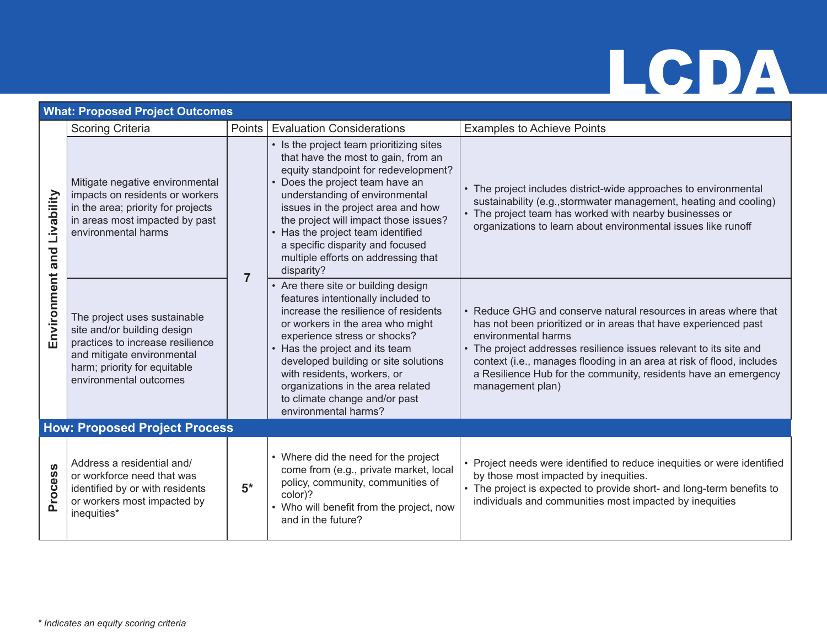|                 | <b>What: Proposed Project Outcomes</b>                                                                                                                                                  |                |                                                                                                                                                                                                                                                                                                                                                                                                           |                                                                                                                                                                                                                                                                                                                                                                                                 |  |  |
|-----------------|-----------------------------------------------------------------------------------------------------------------------------------------------------------------------------------------|----------------|-----------------------------------------------------------------------------------------------------------------------------------------------------------------------------------------------------------------------------------------------------------------------------------------------------------------------------------------------------------------------------------------------------------|-------------------------------------------------------------------------------------------------------------------------------------------------------------------------------------------------------------------------------------------------------------------------------------------------------------------------------------------------------------------------------------------------|--|--|
|                 | <b>Scoring Criteria</b>                                                                                                                                                                 | Points         | <b>Evaluation Considerations</b>                                                                                                                                                                                                                                                                                                                                                                          | <b>Examples to Achieve Points</b>                                                                                                                                                                                                                                                                                                                                                               |  |  |
| Livability      | Mitigate negative environmental<br>impacts on residents or workers<br>in the area; priority for projects<br>in areas most impacted by past<br>environmental harms                       |                | • Is the project team prioritizing sites<br>that have the most to gain, from an<br>equity standpoint for redevelopment?<br>• Does the project team have an<br>understanding of environmental<br>issues in the project area and how<br>the project will impact those issues?<br>• Has the project team identified<br>a specific disparity and focused<br>multiple efforts on addressing that<br>disparity? | • The project includes district-wide approaches to environmental<br>sustainability (e.g., stormwater management, heating and cooling)<br>• The project team has worked with nearby businesses or<br>organizations to learn about environmental issues like runoff                                                                                                                               |  |  |
| Environment and | The project uses sustainable<br>site and/or building design<br>practices to increase resilience<br>and mitigate environmental<br>harm; priority for equitable<br>environmental outcomes | $\overline{7}$ | • Are there site or building design<br>features intentionally included to<br>increase the resilience of residents<br>or workers in the area who might<br>experience stress or shocks?<br>• Has the project and its team<br>developed building or site solutions<br>with residents, workers, or<br>organizations in the area related<br>to climate change and/or past<br>environmental harms?              | • Reduce GHG and conserve natural resources in areas where that<br>has not been prioritized or in areas that have experienced past<br>environmental harms<br>• The project addresses resilience issues relevant to its site and<br>context (i.e., manages flooding in an area at risk of flood, includes<br>a Resilience Hub for the community, residents have an emergency<br>management plan) |  |  |
|                 | <b>How: Proposed Project Process</b>                                                                                                                                                    |                |                                                                                                                                                                                                                                                                                                                                                                                                           |                                                                                                                                                                                                                                                                                                                                                                                                 |  |  |
| Process         | Address a residential and/<br>or workforce need that was<br>identified by or with residents<br>or workers most impacted by<br>inequities*                                               | $5*$           | • Where did the need for the project<br>come from (e.g., private market, local<br>policy, community, communities of<br>color)?<br>• Who will benefit from the project, now<br>and in the future?                                                                                                                                                                                                          | • Project needs were identified to reduce inequities or were identified<br>by those most impacted by inequities.<br>• The project is expected to provide short- and long-term benefits to<br>individuals and communities most impacted by inequities                                                                                                                                            |  |  |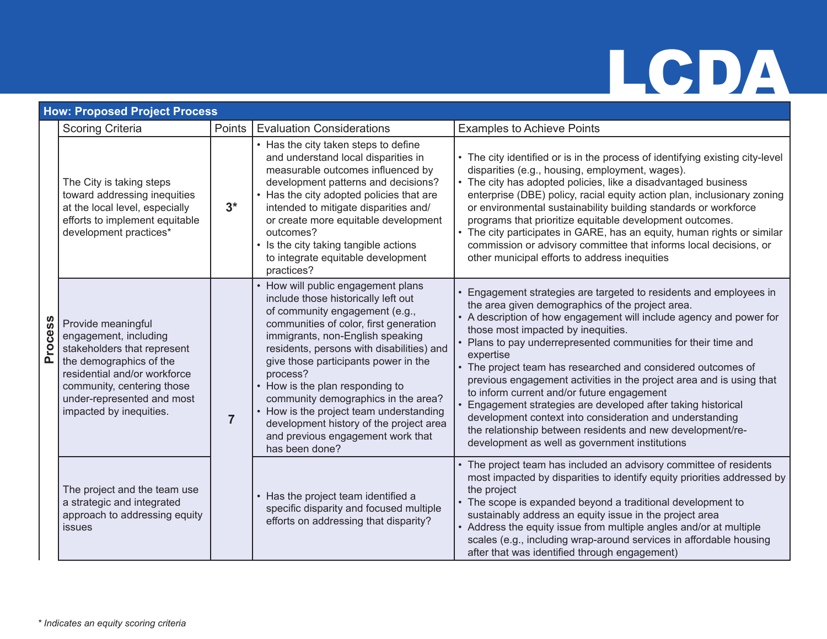# **TCDA**

|                | <b>How: Proposed Project Process</b>                                                                                                                                                                                         |                |                                                                                                                                                                                                                                                                                                                                                                                                                                                                                                                 |                                                                                                                                                                                                                                                                                                                                                                                                                                                                                                                                                                                                                                                                                                                                                   |  |  |
|----------------|------------------------------------------------------------------------------------------------------------------------------------------------------------------------------------------------------------------------------|----------------|-----------------------------------------------------------------------------------------------------------------------------------------------------------------------------------------------------------------------------------------------------------------------------------------------------------------------------------------------------------------------------------------------------------------------------------------------------------------------------------------------------------------|---------------------------------------------------------------------------------------------------------------------------------------------------------------------------------------------------------------------------------------------------------------------------------------------------------------------------------------------------------------------------------------------------------------------------------------------------------------------------------------------------------------------------------------------------------------------------------------------------------------------------------------------------------------------------------------------------------------------------------------------------|--|--|
|                | <b>Scoring Criteria</b>                                                                                                                                                                                                      | Points         | <b>Evaluation Considerations</b>                                                                                                                                                                                                                                                                                                                                                                                                                                                                                | <b>Examples to Achieve Points</b>                                                                                                                                                                                                                                                                                                                                                                                                                                                                                                                                                                                                                                                                                                                 |  |  |
| <b>Process</b> | The City is taking steps<br>toward addressing inequities<br>at the local level, especially<br>efforts to implement equitable<br>development practices*                                                                       | $3^*$          | • Has the city taken steps to define<br>and understand local disparities in<br>measurable outcomes influenced by<br>development patterns and decisions?<br>• Has the city adopted policies that are<br>intended to mitigate disparities and/<br>or create more equitable development<br>outcomes?<br>• Is the city taking tangible actions<br>to integrate equitable development<br>practices?                                                                                                                  | • The city identified or is in the process of identifying existing city-level<br>disparities (e.g., housing, employment, wages).<br>• The city has adopted policies, like a disadvantaged business<br>enterprise (DBE) policy, racial equity action plan, inclusionary zoning<br>or environmental sustainability building standards or workforce<br>programs that prioritize equitable development outcomes.<br>• The city participates in GARE, has an equity, human rights or similar<br>commission or advisory committee that informs local decisions, or<br>other municipal efforts to address inequities                                                                                                                                     |  |  |
|                | Provide meaningful<br>engagement, including<br>stakeholders that represent<br>the demographics of the<br>residential and/or workforce<br>community, centering those<br>under-represented and most<br>impacted by inequities. | $\overline{7}$ | • How will public engagement plans<br>include those historically left out<br>of community engagement (e.g.,<br>communities of color, first generation<br>immigrants, non-English speaking<br>residents, persons with disabilities) and<br>give those participants power in the<br>process?<br>How is the plan responding to<br>community demographics in the area?<br>• How is the project team understanding<br>development history of the project area<br>and previous engagement work that<br>has been done? | Engagement strategies are targeted to residents and employees in<br>the area given demographics of the project area.<br>• A description of how engagement will include agency and power for<br>those most impacted by inequities.<br>• Plans to pay underrepresented communities for their time and<br>expertise<br>• The project team has researched and considered outcomes of<br>previous engagement activities in the project area and is using that<br>to inform current and/or future engagement<br>Engagement strategies are developed after taking historical<br>development context into consideration and understanding<br>the relationship between residents and new development/re-<br>development as well as government institutions |  |  |
|                | The project and the team use<br>a strategic and integrated<br>approach to addressing equity<br>issues                                                                                                                        |                | Has the project team identified a<br>specific disparity and focused multiple<br>efforts on addressing that disparity?                                                                                                                                                                                                                                                                                                                                                                                           | • The project team has included an advisory committee of residents<br>most impacted by disparities to identify equity priorities addressed by<br>the project<br>• The scope is expanded beyond a traditional development to<br>sustainably address an equity issue in the project area<br>• Address the equity issue from multiple angles and/or at multiple<br>scales (e.g., including wrap-around services in affordable housing<br>after that was identified through engagement)                                                                                                                                                                                                                                                               |  |  |